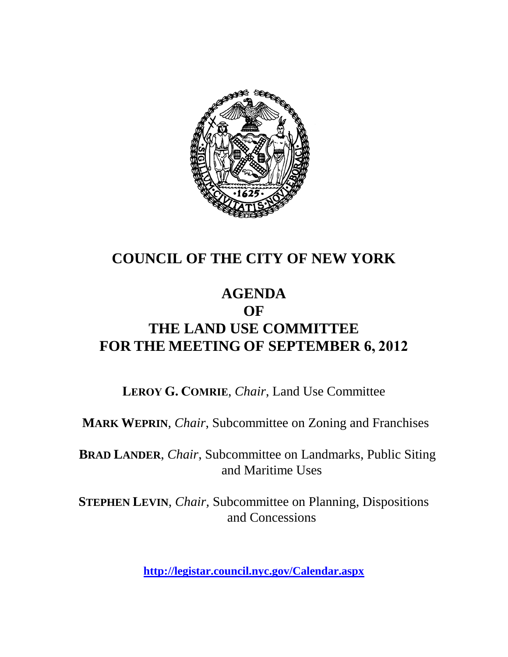

## **COUNCIL OF THE CITY OF NEW YORK**

## **AGENDA OF THE LAND USE COMMITTEE FOR THE MEETING OF SEPTEMBER 6, 2012**

**LEROY G. COMRIE**, *Chair*, Land Use Committee

**MARK WEPRIN**, *Chair*, Subcommittee on Zoning and Franchises

**BRAD LANDER**, *Chair*, Subcommittee on Landmarks, Public Siting and Maritime Uses

**STEPHEN LEVIN**, *Chair,* Subcommittee on Planning, Dispositions and Concessions

**<http://legistar.council.nyc.gov/Calendar.aspx>**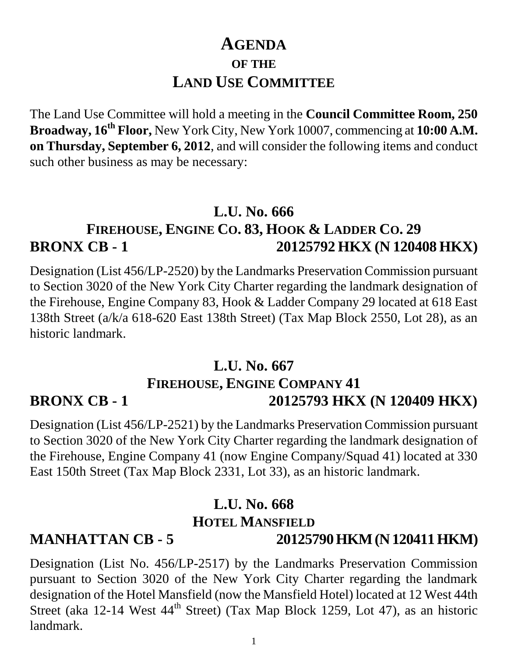# **AGENDA OF THE LAND USE COMMITTEE**

The Land Use Committee will hold a meeting in the **Council Committee Room, 250 Broadway, 16th Floor,** New York City, New York 10007, commencing at **10:00 A.M. on Thursday, September 6, 2012**, and will consider the following items and conduct such other business as may be necessary:

## **L.U. No. 666 FIREHOUSE, ENGINE CO. 83, HOOK & LADDER CO. 29 BRONX CB - 1 20125792 HKX (N 120408 HKX)**

Designation (List 456/LP-2520) by the Landmarks Preservation Commission pursuant to Section 3020 of the New York City Charter regarding the landmark designation of the Firehouse, Engine Company 83, Hook & Ladder Company 29 located at 618 East 138th Street (a/k/a 618-620 East 138th Street) (Tax Map Block 2550, Lot 28), as an historic landmark.

#### **L.U. No. 667 FIREHOUSE, ENGINE COMPANY 41 BRONX CB - 1 20125793 HKX (N 120409 HKX)**

Designation (List 456/LP-2521) by the Landmarks Preservation Commission pursuant to Section 3020 of the New York City Charter regarding the landmark designation of the Firehouse, Engine Company 41 (now Engine Company/Squad 41) located at 330 East 150th Street (Tax Map Block 2331, Lot 33), as an historic landmark.

## **L.U. No. 668 HOTEL MANSFIELD**

**MANHATTAN CB - 5 20125790 HKM (N 120411 HKM)**

Designation (List No. 456/LP-2517) by the Landmarks Preservation Commission pursuant to Section 3020 of the New York City Charter regarding the landmark designation of the Hotel Mansfield (now the Mansfield Hotel) located at 12 West 44th Street (aka 12-14 West  $44<sup>th</sup>$  Street) (Tax Map Block 1259, Lot 47), as an historic landmark.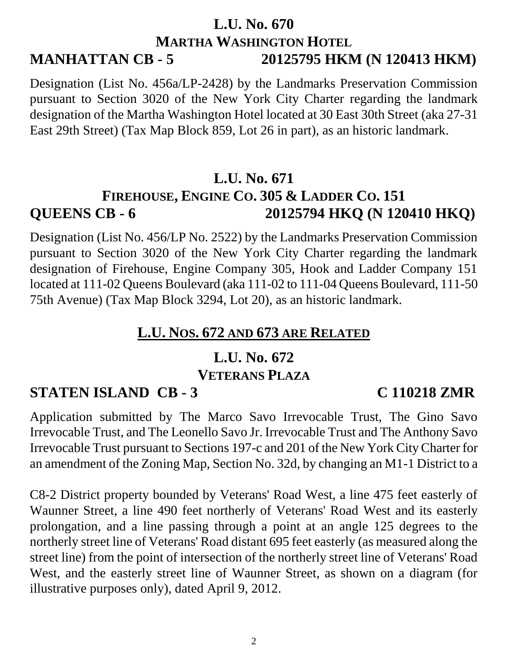### **L.U. No. 670 MARTHA WASHINGTON HOTEL MANHATTAN CB - 5 20125795 HKM (N 120413 HKM)**

Designation (List No. 456a/LP-2428) by the Landmarks Preservation Commission pursuant to Section 3020 of the New York City Charter regarding the landmark designation of the Martha Washington Hotel located at 30 East 30th Street (aka 27-31 East 29th Street) (Tax Map Block 859, Lot 26 in part), as an historic landmark.

## **L.U. No. 671 FIREHOUSE, ENGINE CO. 305 & LADDER CO. 151 QUEENS CB - 6 20125794 HKQ (N 120410 HKQ)**

Designation (List No. 456/LP No. 2522) by the Landmarks Preservation Commission pursuant to Section 3020 of the New York City Charter regarding the landmark designation of Firehouse, Engine Company 305, Hook and Ladder Company 151 located at 111-02 Queens Boulevard (aka 111-02 to 111-04 Queens Boulevard, 111-50 75th Avenue) (Tax Map Block 3294, Lot 20), as an historic landmark.

## **L.U. NOS. 672 AND 673 ARE RELATED**

### **L.U. No. 672**

#### **VETERANS PLAZA**

## **STATEN ISLAND CB - 3 C 110218 ZMR**

#### Application submitted by The Marco Savo Irrevocable Trust, The Gino Savo Irrevocable Trust, and The Leonello Savo Jr. Irrevocable Trust and The Anthony Savo Irrevocable Trust pursuant to Sections 197-c and 201 of the New York City Charter for an amendment of the Zoning Map, Section No. 32d, by changing an M1-1 District to a

C8-2 District property bounded by Veterans' Road West, a line 475 feet easterly of Waunner Street, a line 490 feet northerly of Veterans' Road West and its easterly prolongation, and a line passing through a point at an angle 125 degrees to the northerly street line of Veterans' Road distant 695 feet easterly (as measured along the street line) from the point of intersection of the northerly street line of Veterans' Road West, and the easterly street line of Waunner Street, as shown on a diagram (for illustrative purposes only), dated April 9, 2012.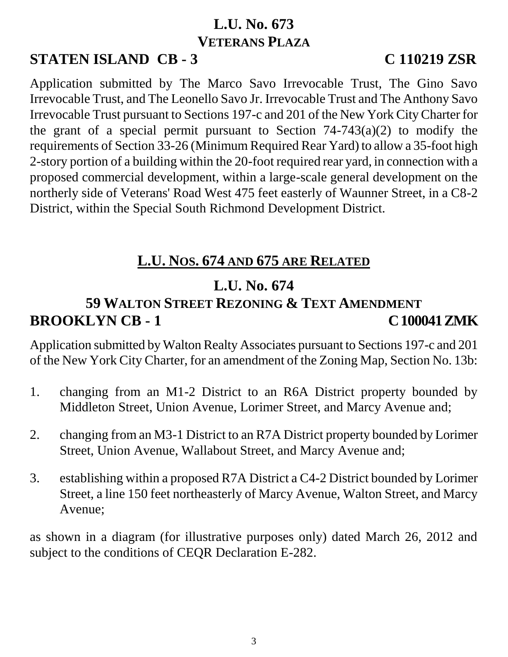## **L.U. No. 673 VETERANS PLAZA**

# **STATEN ISLAND CB - 3 C 110219 ZSR**

Application submitted by The Marco Savo Irrevocable Trust, The Gino Savo Irrevocable Trust, and The Leonello Savo Jr. Irrevocable Trust and The Anthony Savo Irrevocable Trust pursuant to Sections 197-c and 201 of the New York City Charter for the grant of a special permit pursuant to Section  $74-743(a)(2)$  to modify the requirements of Section 33-26 (Minimum Required Rear Yard) to allow a 35-foot high 2-story portion of a building within the 20-foot required rear yard, in connection with a proposed commercial development, within a large-scale general development on the northerly side of Veterans' Road West 475 feet easterly of Waunner Street, in a C8-2 District, within the Special South Richmond Development District.

## **L.U. NOS. 674 AND 675 ARE RELATED**

# **L.U. No. 674**

## **59 WALTON STREET REZONING & TEXT AMENDMENT BROOKLYN CB - 1 C 100041 ZMK**

Application submitted by Walton Realty Associates pursuant to Sections 197-c and 201 of the New York City Charter, for an amendment of the Zoning Map, Section No. 13b:

- 1. changing from an M1-2 District to an R6A District property bounded by Middleton Street, Union Avenue, Lorimer Street, and Marcy Avenue and;
- 2. changing from an M3-1 District to an R7A District property bounded by Lorimer Street, Union Avenue, Wallabout Street, and Marcy Avenue and;
- 3. establishing within a proposed R7A District a C4-2 District bounded by Lorimer Street, a line 150 feet northeasterly of Marcy Avenue, Walton Street, and Marcy Avenue;

as shown in a diagram (for illustrative purposes only) dated March 26, 2012 and subject to the conditions of CEQR Declaration E-282.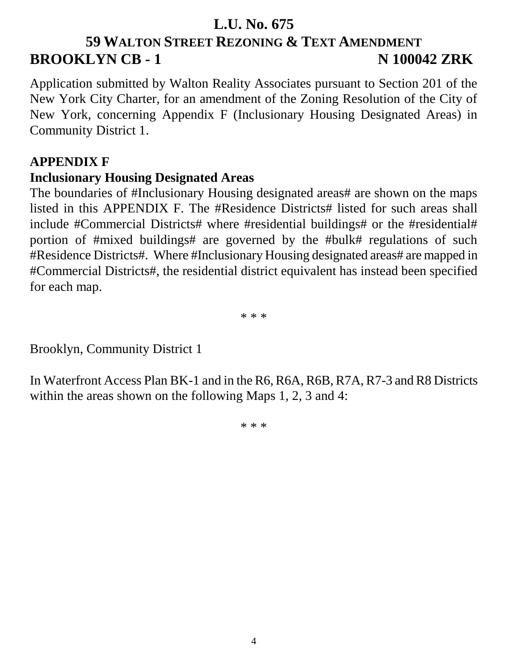### **L.U. No. 675**

# **59 WALTON STREET REZONING & TEXT AMENDMENT BROOKLYN CB - 1** N 100042 ZRK

Application submitted by Walton Reality Associates pursuant to Section 201 of the New York City Charter, for an amendment of the Zoning Resolution of the City of New York, concerning Appendix F (Inclusionary Housing Designated Areas) in Community District 1.

#### **APPENDIX F**

#### **Inclusionary Housing Designated Areas**

The boundaries of #Inclusionary Housing designated areas# are shown on the maps listed in this APPENDIX F. The #Residence Districts# listed for such areas shall include #Commercial Districts# where #residential buildings# or the #residential# portion of #mixed buildings# are governed by the #bulk# regulations of such #Residence Districts#. Where #Inclusionary Housing designated areas# are mapped in #Commercial Districts#, the residential district equivalent has instead been specified for each map.

\* \* \*

Brooklyn, Community District 1

In Waterfront Access Plan BK-1 and in the R6, R6A, R6B, R7A, R7-3 and R8 Districts within the areas shown on the following Maps 1, 2, 3 and 4:

\* \* \*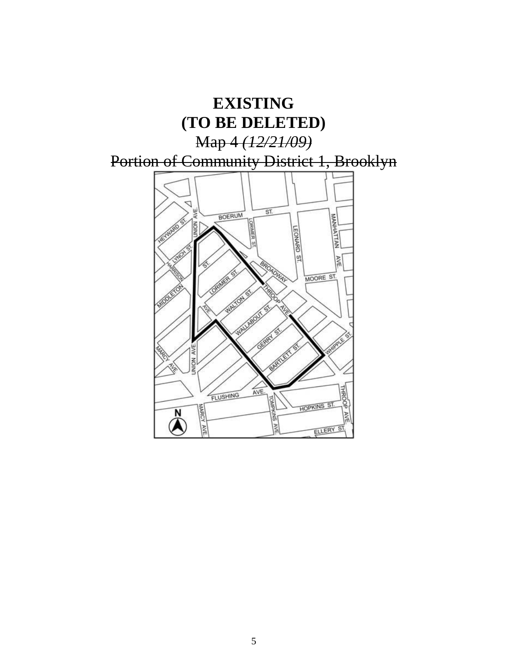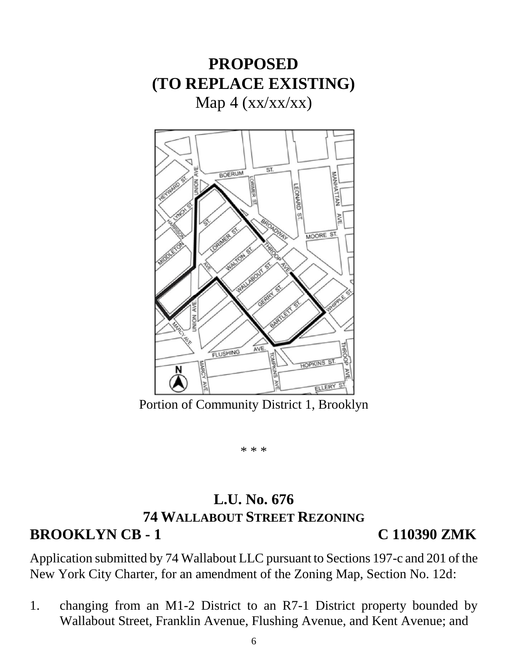

**PROPOSED**

Portion of Community District 1, Brooklyn

\* \* \*

#### **L.U. No. 676 74 WALLABOUT STREET REZONING BROOKLYN CB - 1 C 110390 ZMK**

Application submitted by 74 Wallabout LLC pursuant to Sections 197-c and 201 of the New York City Charter, for an amendment of the Zoning Map, Section No. 12d:

1. changing from an M1-2 District to an R7-1 District property bounded by Wallabout Street, Franklin Avenue, Flushing Avenue, and Kent Avenue; and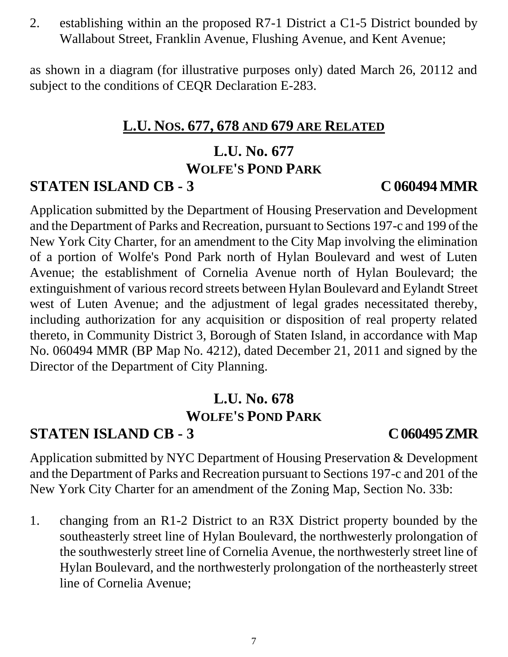2. establishing within an the proposed R7-1 District a C1-5 District bounded by Wallabout Street, Franklin Avenue, Flushing Avenue, and Kent Avenue;

as shown in a diagram (for illustrative purposes only) dated March 26, 20112 and subject to the conditions of CEQR Declaration E-283.

### **L.U. NOS. 677, 678 AND 679 ARE RELATED**

#### **L.U. No. 677 WOLFE'S POND PARK**

## **STATEN ISLAND CB - 3 C 060494 MMR**

Application submitted by the Department of Housing Preservation and Development and the Department of Parks and Recreation, pursuant to Sections 197-c and 199 of the New York City Charter, for an amendment to the City Map involving the elimination of a portion of Wolfe's Pond Park north of Hylan Boulevard and west of Luten Avenue; the establishment of Cornelia Avenue north of Hylan Boulevard; the extinguishment of various record streets between Hylan Boulevard and Eylandt Street west of Luten Avenue; and the adjustment of legal grades necessitated thereby, including authorization for any acquisition or disposition of real property related thereto, in Community District 3, Borough of Staten Island, in accordance with Map No. 060494 MMR (BP Map No. 4212), dated December 21, 2011 and signed by the Director of the Department of City Planning.

### **L.U. No. 678 WOLFE'S POND PARK**

## **STATEN ISLAND CB - 3 C 060495 ZMR**

Application submitted by NYC Department of Housing Preservation & Development and the Department of Parks and Recreation pursuant to Sections 197-c and 201 of the New York City Charter for an amendment of the Zoning Map, Section No. 33b:

1. changing from an R1-2 District to an R3X District property bounded by the southeasterly street line of Hylan Boulevard, the northwesterly prolongation of the southwesterly street line of Cornelia Avenue, the northwesterly street line of Hylan Boulevard, and the northwesterly prolongation of the northeasterly street line of Cornelia Avenue;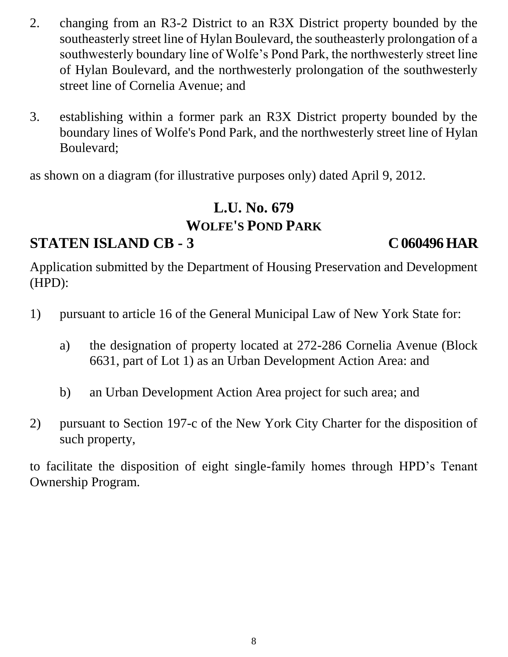- 2. changing from an R3-2 District to an R3X District property bounded by the southeasterly street line of Hylan Boulevard, the southeasterly prolongation of a southwesterly boundary line of Wolfe's Pond Park, the northwesterly street line of Hylan Boulevard, and the northwesterly prolongation of the southwesterly street line of Cornelia Avenue; and
- 3. establishing within a former park an R3X District property bounded by the boundary lines of Wolfe's Pond Park, and the northwesterly street line of Hylan Boulevard;

as shown on a diagram (for illustrative purposes only) dated April 9, 2012.

## **L.U. No. 679 WOLFE'S POND PARK**

## **STATEN ISLAND CB - 3 C 060496 HAR**

Application submitted by the Department of Housing Preservation and Development (HPD):

- 1) pursuant to article 16 of the General Municipal Law of New York State for:
	- a) the designation of property located at 272-286 Cornelia Avenue (Block 6631, part of Lot 1) as an Urban Development Action Area: and
	- b) an Urban Development Action Area project for such area; and
- 2) pursuant to Section 197-c of the New York City Charter for the disposition of such property,

to facilitate the disposition of eight single-family homes through HPD's Tenant Ownership Program.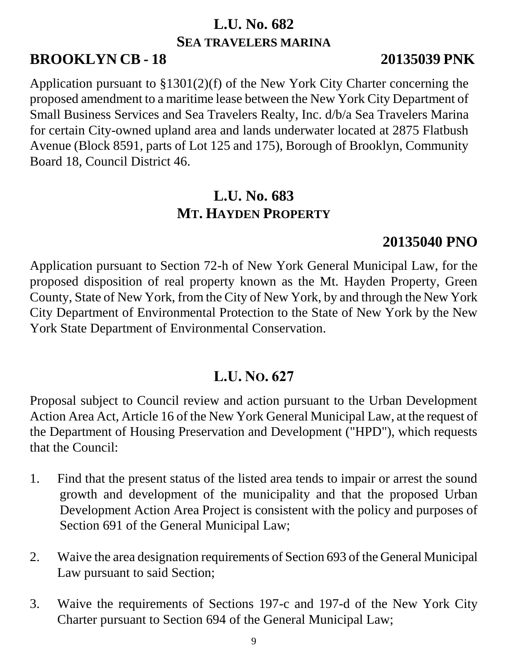## **L.U. No. 682 SEA TRAVELERS MARINA**

## **BROOKLYN CB - 18 20135039 PNK**

Application pursuant to §1301(2)(f) of the New York City Charter concerning the proposed amendment to a maritime lease between the New York City Department of Small Business Services and Sea Travelers Realty, Inc. d/b/a Sea Travelers Marina for certain City-owned upland area and lands underwater located at 2875 Flatbush Avenue (Block 8591, parts of Lot 125 and 175), Borough of Brooklyn, Community Board 18, Council District 46.

## **L.U. No. 683 MT. HAYDEN PROPERTY**

## **20135040 PNO**

Application pursuant to Section 72-h of New York General Municipal Law, for the proposed disposition of real property known as the Mt. Hayden Property, Green County, State of New York, from the City of New York, by and through the New York City Department of Environmental Protection to the State of New York by the New York State Department of Environmental Conservation.

### **L.U. NO. 627**

Proposal subject to Council review and action pursuant to the Urban Development Action Area Act, Article 16 of the New York General Municipal Law, at the request of the Department of Housing Preservation and Development ("HPD"), which requests that the Council:

- 1. Find that the present status of the listed area tends to impair or arrest the sound growth and development of the municipality and that the proposed Urban Development Action Area Project is consistent with the policy and purposes of Section 691 of the General Municipal Law;
- 2. Waive the area designation requirements of Section 693 of the General Municipal Law pursuant to said Section;
- 3. Waive the requirements of Sections 197-c and 197-d of the New York City Charter pursuant to Section 694 of the General Municipal Law;